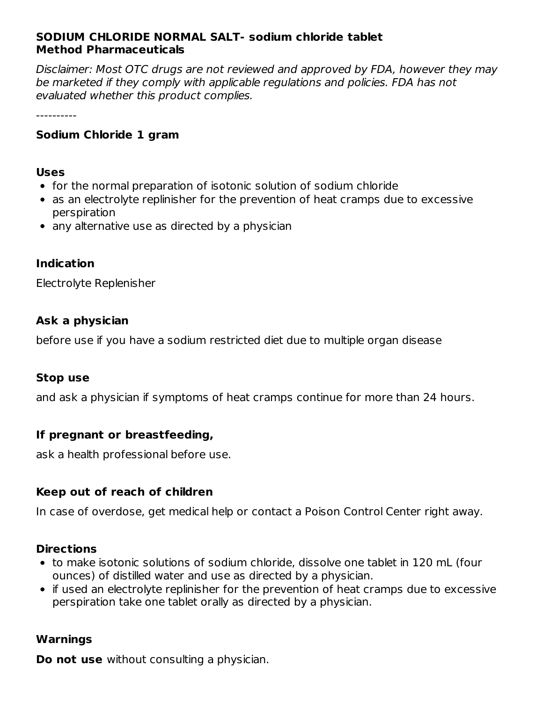## **SODIUM CHLORIDE NORMAL SALT- sodium chloride tablet Method Pharmaceuticals**

Disclaimer: Most OTC drugs are not reviewed and approved by FDA, however they may be marketed if they comply with applicable regulations and policies. FDA has not evaluated whether this product complies.

----------

### **Sodium Chloride 1 gram**

#### **Uses**

- for the normal preparation of isotonic solution of sodium chloride
- as an electrolyte replinisher for the prevention of heat cramps due to excessive perspiration
- any alternative use as directed by a physician

### **Indication**

Electrolyte Replenisher

### **Ask a physician**

before use if you have a sodium restricted diet due to multiple organ disease

### **Stop use**

and ask a physician if symptoms of heat cramps continue for more than 24 hours.

## **If pregnant or breastfeeding,**

ask a health professional before use.

## **Keep out of reach of children**

In case of overdose, get medical help or contact a Poison Control Center right away.

### **Directions**

- to make isotonic solutions of sodium chloride, dissolve one tablet in 120 mL (four ounces) of distilled water and use as directed by a physician.
- if used an electrolyte replinisher for the prevention of heat cramps due to excessive perspiration take one tablet orally as directed by a physician.

### **Warnings**

**Do not use** without consulting a physician.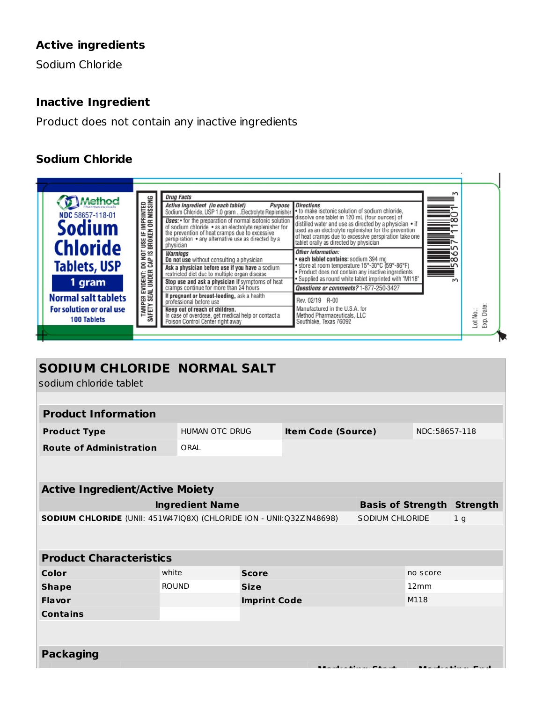# **Active ingredients**

Sodium Chloride

## **Inactive Ingredient**

Product does not contain any inactive ingredients

# **Sodium Chloride**



| SODIUM CHLORIDE NORMAL SALT<br>sodium chloride tablet               |                        |                     |  |                                            |          |                                   |  |  |
|---------------------------------------------------------------------|------------------------|---------------------|--|--------------------------------------------|----------|-----------------------------------|--|--|
|                                                                     |                        |                     |  |                                            |          |                                   |  |  |
| <b>Product Information</b>                                          |                        |                     |  |                                            |          |                                   |  |  |
| <b>Product Type</b>                                                 |                        | HUMAN OTC DRUG      |  | <b>Item Code (Source)</b>                  |          | NDC:58657-118                     |  |  |
| <b>Route of Administration</b>                                      | ORAL                   |                     |  |                                            |          |                                   |  |  |
|                                                                     |                        |                     |  |                                            |          |                                   |  |  |
|                                                                     |                        |                     |  |                                            |          |                                   |  |  |
| <b>Active Ingredient/Active Moiety</b>                              |                        |                     |  |                                            |          |                                   |  |  |
|                                                                     | <b>Ingredient Name</b> |                     |  |                                            |          | <b>Basis of Strength Strength</b> |  |  |
| SODIUM CHLORIDE (UNII: 451W47IQ8X) (CHLORIDE ION - UNII:Q32ZN48698) |                        |                     |  | <b>SODIUM CHLORIDE</b><br>1 <sub>g</sub>   |          |                                   |  |  |
|                                                                     |                        |                     |  |                                            |          |                                   |  |  |
| <b>Product Characteristics</b>                                      |                        |                     |  |                                            |          |                                   |  |  |
| Color                                                               | white                  | <b>Score</b>        |  |                                            | no score |                                   |  |  |
| <b>Shape</b>                                                        | <b>ROUND</b>           | <b>Size</b>         |  |                                            | 12mm     |                                   |  |  |
| Flavor                                                              |                        | <b>Imprint Code</b> |  |                                            | M118     |                                   |  |  |
| <b>Contains</b>                                                     |                        |                     |  |                                            |          |                                   |  |  |
|                                                                     |                        |                     |  |                                            |          |                                   |  |  |
| <b>Packaging</b>                                                    |                        |                     |  |                                            |          |                                   |  |  |
|                                                                     |                        |                     |  | $\mathbf{r}$ , $\mathbf{r}$ , $\mathbf{r}$ |          |                                   |  |  |